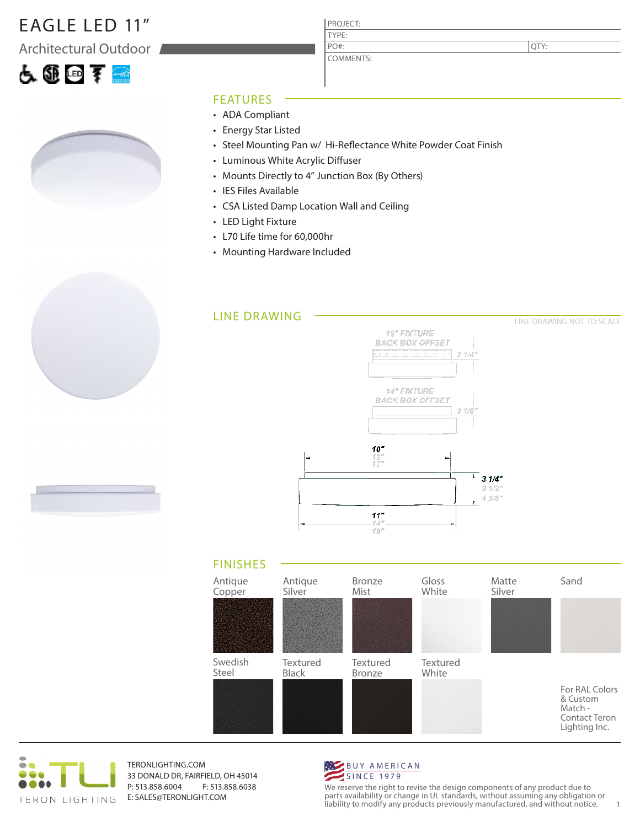## EAGLE LED 11"

Architectural Outdoor





#### FEATURES

- ADA Compliant
- Energy Star Listed
- Steel Mounting Pan w/ Hi-Reflectance White Powder Coat Finish

PROJECT: TYPE:

PO#:

COMMENTS:

- Luminous White Acrylic Diffuser
- Mounts Directly to 4" Junction Box (By Others)
- IES Files Available
- CSA Listed Damp Location Wall and Ceiling
- LED Light Fixture
- L70 Life time for 60,000hr
- Mounting Hardware Included







TERONLIGHTING.COM 33 DONALD DR, FAIRFIELD, OH 45014 P: 513.858.6004 F: 513.858.6038 E: SALES@TERONLIGHT.COM



We reserve the right to revise the design components of any product due to parts availability or change in UL standards, without assuming any obligation or liability to modify any products previously manufactured, and without notice. 1

QTY: